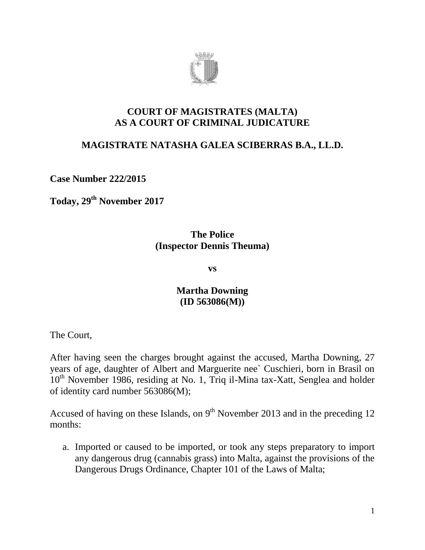

#### **COURT OF MAGISTRATES (MALTA) AS A COURT OF CRIMINAL JUDICATURE**

# **MAGISTRATE NATASHA GALEA SCIBERRAS B.A., LL.D.**

**Case Number 222/2015**

**Today, 29th November 2017**

#### **The Police (Inspector Dennis Theuma)**

**vs**

# **Martha Downing (ID 563086(M))**

The Court,

After having seen the charges brought against the accused, Martha Downing, 27 years of age, daughter of Albert and Marguerite nee` Cuschieri, born in Brasil on  $10<sup>th</sup>$  November 1986, residing at No. 1, Triq il-Mina tax-Xatt, Senglea and holder of identity card number 563086(M);

Accused of having on these Islands, on  $9<sup>th</sup>$  November 2013 and in the preceding 12 months:

a. Imported or caused to be imported, or took any steps preparatory to import any dangerous drug (cannabis grass) into Malta, against the provisions of the Dangerous Drugs Ordinance, Chapter 101 of the Laws of Malta;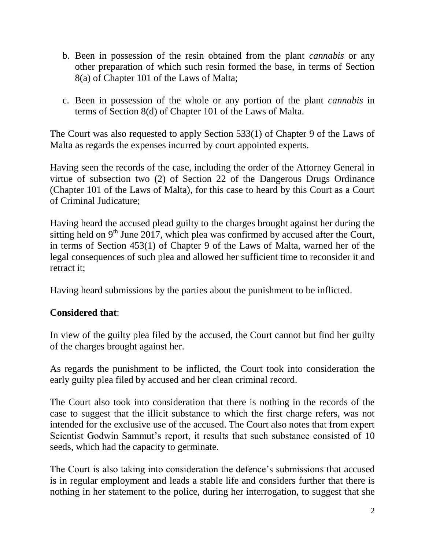- b. Been in possession of the resin obtained from the plant *cannabis* or any other preparation of which such resin formed the base, in terms of Section 8(a) of Chapter 101 of the Laws of Malta;
- c. Been in possession of the whole or any portion of the plant *cannabis* in terms of Section 8(d) of Chapter 101 of the Laws of Malta.

The Court was also requested to apply Section 533(1) of Chapter 9 of the Laws of Malta as regards the expenses incurred by court appointed experts.

Having seen the records of the case, including the order of the Attorney General in virtue of subsection two (2) of Section 22 of the Dangerous Drugs Ordinance (Chapter 101 of the Laws of Malta), for this case to heard by this Court as a Court of Criminal Judicature;

Having heard the accused plead guilty to the charges brought against her during the sitting held on  $9<sup>th</sup>$  June 2017, which plea was confirmed by accused after the Court, in terms of Section 453(1) of Chapter 9 of the Laws of Malta, warned her of the legal consequences of such plea and allowed her sufficient time to reconsider it and retract it;

Having heard submissions by the parties about the punishment to be inflicted.

# **Considered that**:

In view of the guilty plea filed by the accused, the Court cannot but find her guilty of the charges brought against her.

As regards the punishment to be inflicted, the Court took into consideration the early guilty plea filed by accused and her clean criminal record.

The Court also took into consideration that there is nothing in the records of the case to suggest that the illicit substance to which the first charge refers, was not intended for the exclusive use of the accused. The Court also notes that from expert Scientist Godwin Sammut's report, it results that such substance consisted of 10 seeds, which had the capacity to germinate.

The Court is also taking into consideration the defence's submissions that accused is in regular employment and leads a stable life and considers further that there is nothing in her statement to the police, during her interrogation, to suggest that she